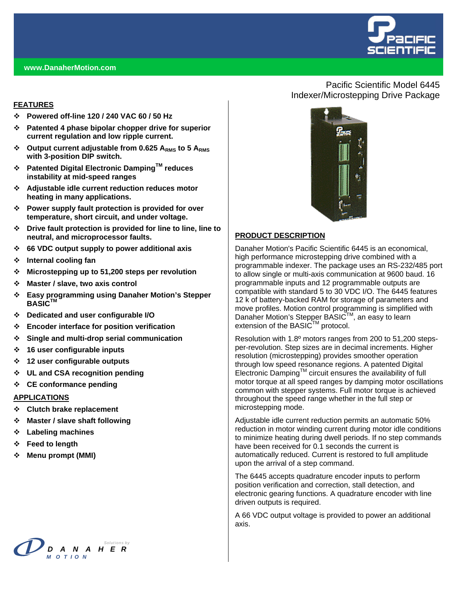

#### **www.DanaherMotion.com**

#### **FEATURES**

- **Powered off-line 120 / 240 VAC 60 / 50 Hz**
- **Patented 4 phase bipolar chopper drive for superior current regulation and low ripple current.**
- Output current adjustable from 0.625 A<sub>RMS</sub> to 5 A<sub>RMS</sub> **with 3-position DIP switch.**
- **Patented Digital Electronic DampingTM reduces instability at mid-speed ranges**
- **Adjustable idle current reduction reduces motor heating in many applications.**
- **Power supply fault protection is provided for over temperature, short circuit, and under voltage.**
- **Drive fault protection is provided for line to line, line to neutral, and microprocessor faults.**
- **66 VDC output supply to power additional axis**
- **Internal cooling fan**
- **Microstepping up to 51,200 steps per revolution**
- **Master / slave, two axis control**
- **Easy programming using Danaher Motion's Stepper BASICTM**
- **Dedicated and user configurable I/O**
- **Encoder interface for position verification**
- **Single and multi-drop serial communication**
- **16 user configurable inputs**
- **12 user configurable outputs**
- **UL and CSA recognition pending**
- **CE conformance pending**

#### **APPLICATIONS**

- **Clutch brake replacement**
- **Master / slave shaft following**
- **Labeling machines**
- **Feed to length**
- **Menu prompt (MMI)**



### Pacific Scientific Model 6445 Indexer/Microstepping Drive Package



#### **PRODUCT DESCRIPTION**

Danaher Motion's Pacific Scientific 6445 is an economical, high performance microstepping drive combined with a programmable indexer. The package uses an RS-232/485 port to allow single or multi-axis communication at 9600 baud. 16 programmable inputs and 12 programmable outputs are compatible with standard 5 to 30 VDC I/O. The 6445 features 12 k of battery-backed RAM for storage of parameters and move profiles. Motion control programming is simplified with Danaher Motion's Stepper BASIC™, an easy to learn extension of the BASIC™ protocol.

Resolution with 1.8º motors ranges from 200 to 51,200 stepsper-revolution. Step sizes are in decimal increments. Higher resolution (microstepping) provides smoother operation through low speed resonance regions. A patented Digital Electronic Damping<sup> $M$ </sup> circuit ensures the availability of full motor torque at all speed ranges by damping motor oscillations common with stepper systems. Full motor torque is achieved throughout the speed range whether in the full step or microstepping mode.

Adjustable idle current reduction permits an automatic 50% reduction in motor winding current during motor idle conditions to minimize heating during dwell periods. If no step commands have been received for 0.1 seconds the current is automatically reduced. Current is restored to full amplitude upon the arrival of a step command.

The 6445 accepts quadrature encoder inputs to perform position verification and correction, stall detection, and electronic gearing functions. A quadrature encoder with line driven outputs is required.

A 66 VDC output voltage is provided to power an additional axis.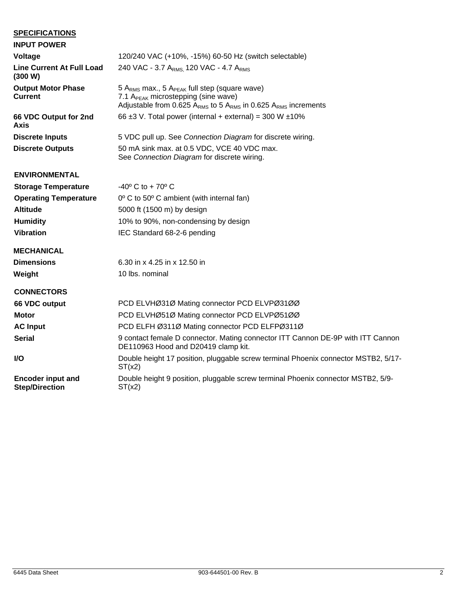## **SPECIFICATIONS**

| <b>INPUT POWER</b>                                |                                                                                                                                                                                                |
|---------------------------------------------------|------------------------------------------------------------------------------------------------------------------------------------------------------------------------------------------------|
| Voltage                                           | 120/240 VAC (+10%, -15%) 60-50 Hz (switch selectable)                                                                                                                                          |
| <b>Line Current At Full Load</b><br>(300 W)       | 240 VAC - 3.7 A <sub>RMS</sub> 120 VAC - 4.7 A <sub>RMS</sub>                                                                                                                                  |
| <b>Output Motor Phase</b><br><b>Current</b>       | 5 A <sub>RMS</sub> max., 5 A <sub>PEAK</sub> full step (square wave)<br>7.1 A <sub>PEAK</sub> microstepping (sine wave)<br>Adjustable from 0.625 $ARMS$ to 5 $ARMS$ in 0.625 $ARMS$ increments |
| 66 VDC Output for 2nd<br>Axis                     | 66 $\pm$ 3 V. Total power (internal + external) = 300 W $\pm$ 10%                                                                                                                              |
| <b>Discrete Inputs</b>                            | 5 VDC pull up. See Connection Diagram for discrete wiring.                                                                                                                                     |
| <b>Discrete Outputs</b>                           | 50 mA sink max. at 0.5 VDC, VCE 40 VDC max.<br>See Connection Diagram for discrete wiring.                                                                                                     |
| <b>ENVIRONMENTAL</b>                              |                                                                                                                                                                                                |
| <b>Storage Temperature</b>                        | $-40^{\circ}$ C to + 70 $^{\circ}$ C                                                                                                                                                           |
| <b>Operating Temperature</b>                      | 0° C to 50° C ambient (with internal fan)                                                                                                                                                      |
| <b>Altitude</b>                                   | 5000 ft (1500 m) by design                                                                                                                                                                     |
| <b>Humidity</b>                                   | 10% to 90%, non-condensing by design                                                                                                                                                           |
| <b>Vibration</b>                                  | IEC Standard 68-2-6 pending                                                                                                                                                                    |
| <b>MECHANICAL</b>                                 |                                                                                                                                                                                                |
| <b>Dimensions</b>                                 | 6.30 in x 4.25 in x 12.50 in                                                                                                                                                                   |
| Weight                                            | 10 lbs. nominal                                                                                                                                                                                |
| <b>CONNECTORS</b>                                 |                                                                                                                                                                                                |
| 66 VDC output                                     | PCD ELVHØ31Ø Mating connector PCD ELVPØ31ØØ                                                                                                                                                    |
| <b>Motor</b>                                      | PCD ELVHØ51Ø Mating connector PCD ELVPØ51ØØ                                                                                                                                                    |
| <b>AC Input</b>                                   | PCD ELFH Ø311Ø Mating connector PCD ELFPØ311Ø                                                                                                                                                  |
| <b>Serial</b>                                     | 9 contact female D connector. Mating connector ITT Cannon DE-9P with ITT Cannon<br>DE110963 Hood and D20419 clamp kit.                                                                         |
| I/O                                               | Double height 17 position, pluggable screw terminal Phoenix connector MSTB2, 5/17-<br>ST(x2)                                                                                                   |
| <b>Encoder input and</b><br><b>Step/Direction</b> | Double height 9 position, pluggable screw terminal Phoenix connector MSTB2, 5/9-<br>ST(x2)                                                                                                     |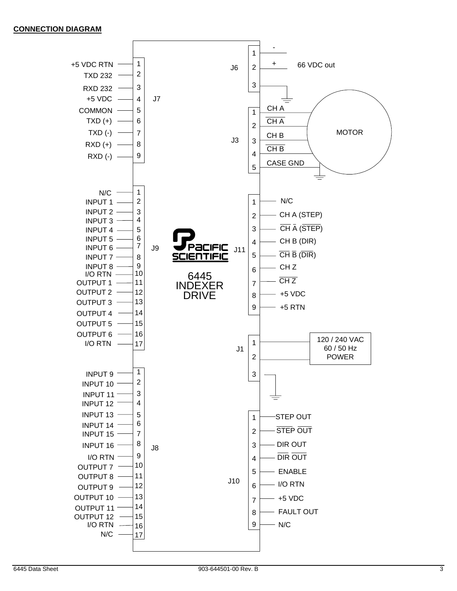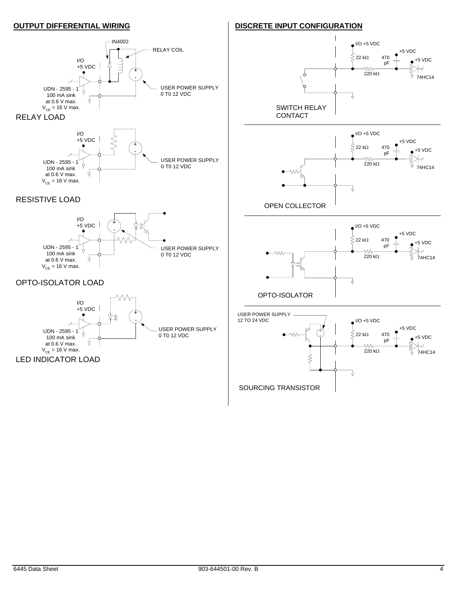#### **OUTPUT DIFFERENTIAL WIRING**

#### IN4002 RELAY COIL I/O  $\begin{array}{c} 1 \ \hline 1 \end{array}$ 大  $+5$  VDC  $\parallel$ + - USER POWER SUPPLY UDN - 2595 - 1 4 0 T0 12 VDC 100 mA sink at 0.6 V max. ╬  $V_{CF}$  = 16 V max. RELAY LOAD



## RESISTIVE LOAD



# OPTO-ISOLATOR LOAD



## **DISCRETE INPUT CONFIGURATION**





 $\bullet$  I/O +5 VDC +5 VDC  $\dot{\lesssim}$  22 kΩ 470  $+5$  VDC pF W. 220 kΩ 1 74HC14  $\frac{1}{\sqrt{2}}$ OPTO-ISOLATOR

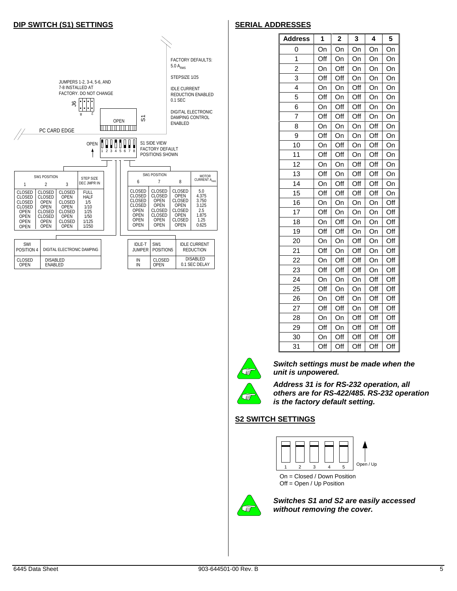#### **DIP SWITCH (S1) SETTINGS**

#### FACTORY DEFAULTS:  $5.0 A_{RMS}$ STEPSIZE 1/25 JUMPERS 1-2, 3-4, 5-6, AND 7-8 INSTALLED AT IDLE CURRENT FACTORY. DO NOT CHANGE REDUCTION ENABLED  $\frac{1}{2}$ 0.1 SEC DIGITAL ELECTRONIC 8 2 DAMPING CONTROL  $\overline{5}$ OPEN ENABLED <u>TELEVISION NE</u> PC CARD EDGE OPEN **THEFT THE S1 SIDE VIEW** FACTORY DEFAULT  $2$  3 4 5 6 7 8 POSITIONS SHOWN SW1 POSITION MOTOR<br>
7 8 CURRENT A SW1 POSITION STEP SIZE 6 7 8 DEC JMPR IN 1 2 3 CLOSED CLOSED CLOSED 5.0 CLOSED CLOSED CLOSED CLOSED CLOSED OPEN FULL HALF CLOSED 4.375 CLOSED OPEN CLOSED CLOSED CLOSED OPEN OPEN CLOSED OPEN 3.750 3.125 CLOSED OPEN 1/5 1/10 CLOSED OPEN CLOSED OPEN OPEN CLOSED OPEN CLOSED CLOSED 2.5 1.875 1.25 1/25 OPEN CLOSED 1/50 OPEN CLOSED OPEN OPEN CLOSED **OPEN OPEN** CLOSED OPEN OPEN OPEN 1/125 OPEN OPEN OPEN 0.625 OPEN **OPEN** 1/250 SWI<br>POSITION IDLE-T SW1 IDLE CURRENT DIGITAL ELECTRONIC DAMPING JUMPER POSITION5 REDUCTION DISABLED CLOSED OPEN DISABLED ENABLED IN IN CLOSED OPEN 0.1 SEC DELAY

## **SERIAL ADDRESSES**

| <b>Address</b> | 1   | $\overline{\mathbf{c}}$ | 3   | 4   | 5   |
|----------------|-----|-------------------------|-----|-----|-----|
| 0              | On  | On                      | On  | On  | On  |
| 1              | Off | On                      | On  | On  | On  |
| $\overline{2}$ | On  | Off                     | On  | On  | On  |
| 3              | Off | Off                     | On  | On  | On  |
| 4              | On  | On                      | Off | On  | On  |
| 5              | Off | On                      | Off | On  | On  |
| 6              | On  | Off                     | Off | On  | On  |
| $\overline{7}$ | Off | Off                     | Off | On  | On  |
| 8              | On  | On                      | On  | Off | On  |
| 9              | Off | On                      | On  | Off | On  |
| 10             | On  | Off                     | On  | Off | On  |
| 11             | Off | Off                     | On  | Off | On  |
| 12             | On  | On                      | Off | Off | On  |
| 13             | Off | On                      | Off | Off | On  |
| 14             | On  | Off                     | Off | Off | On  |
| 15             | Off | Off                     | Off | Off | On  |
| 16             | On  | On                      | On  | On  | Off |
| 17             | Off | On                      | On  | On  | Off |
| 18             | On  | Off                     | On  | On  | Off |
| 19             | Off | Off                     | On  | On  | Off |
| 20             | On  | On                      | Off | On  | Off |
| 21             | Off | On                      | Off | On  | Off |
| 22             | On  | Off                     | Off | On  | Off |
| 23             | Off | Off                     | Off | On  | Off |
| 24             | On  | On                      | On  | Off | Off |
| 25             | Off | On                      | On  | Off | Off |
| 26             | On  | Off                     | On  | Off | Off |
| 27             | Off | Off                     | On  | Off | Off |
| 28             | On  | On                      | Off | Off | Off |
| 29             | Off | On                      | Off | Off | Off |
| 30             | On  | Off                     | Off | Off | Off |
| 31             | Off | Off                     | Off | Off | Off |



Œ

*Switch settings must be made when the unit is unpowered.* 

*Address 31 is for RS-232 operation, all others are for RS-422/485. RS-232 operation is the factory default setting.* 

#### **S2 SWITCH SETTINGS**





*Switches S1 and S2 are easily accessed without removing the cover.*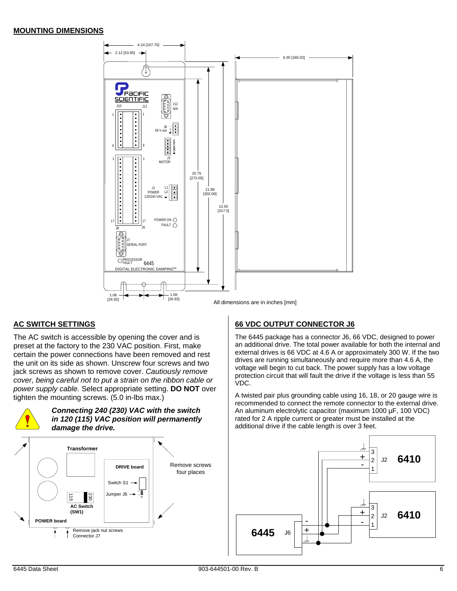#### **MOUNTING DIMENSIONS**



### **AC SWITCH SETTINGS**

The AC switch is accessible by opening the cover and is preset at the factory to the 230 VAC position. First, make certain the power connections have been removed and rest the unit on its side as shown. Unscrew four screws and two jack screws as shown to remove cover. *Cautiously remove cover, being careful not to put a strain on the ribbon cable or power supply cable.* Select appropriate setting. **DO NOT** over tighten the mounting screws. (5.0 in-lbs max.)



### **66 VDC OUTPUT CONNECTOR J6**

The 6445 package has a connector J6, 66 VDC, designed to power an additional drive. The total power available for both the internal and external drives is 66 VDC at 4.6 A or approximately 300 W. If the two drives are running simultaneously and require more than 4.6 A, the voltage will begin to cut back. The power supply has a low voltage protection circuit that will fault the drive if the voltage is less than 55 VDC.

A twisted pair plus grounding cable using 16, 18, or 20 gauge wire is recommended to connect the remote connector to the external drive. An aluminum electrolytic capacitor (maximum 1000 µF, 100 VDC) rated for 2 A ripple current or greater must be installed at the additional drive if the cable length is over 3 feet.

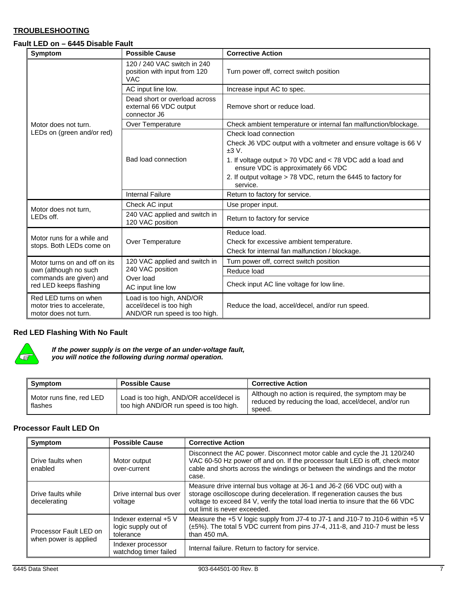### **TROUBLESHOOTING**

#### **Fault LED on – 6445 Disable Fault**

| <b>Symptom</b>                                                              | <b>Possible Cause</b>                                                                | <b>Corrective Action</b>                                                                        |  |
|-----------------------------------------------------------------------------|--------------------------------------------------------------------------------------|-------------------------------------------------------------------------------------------------|--|
|                                                                             | 120 / 240 VAC switch in 240<br>position with input from 120<br><b>VAC</b>            | Turn power off, correct switch position                                                         |  |
|                                                                             | AC input line low.                                                                   | Increase input AC to spec.                                                                      |  |
|                                                                             | Dead short or overload across<br>external 66 VDC output<br>connector J6              | Remove short or reduce load.                                                                    |  |
| Motor does not turn.                                                        | Over Temperature                                                                     | Check ambient temperature or internal fan malfunction/blockage.                                 |  |
| LEDs on (green and/or red)                                                  |                                                                                      | Check load connection                                                                           |  |
|                                                                             |                                                                                      | Check J6 VDC output with a voltmeter and ensure voltage is 66 V<br>±3 V.                        |  |
|                                                                             | <b>Bad load connection</b>                                                           | 1. If voltage output > 70 VDC and < 78 VDC add a load and<br>ensure VDC is approximately 66 VDC |  |
|                                                                             |                                                                                      | 2. If output voltage > 78 VDC, return the 6445 to factory for<br>service.                       |  |
|                                                                             | <b>Internal Failure</b>                                                              | Return to factory for service.                                                                  |  |
|                                                                             | Check AC input                                                                       | Use proper input.                                                                               |  |
| Motor does not turn,<br>LEDs off.                                           | 240 VAC applied and switch in<br>120 VAC position                                    | Return to factory for service                                                                   |  |
|                                                                             |                                                                                      | Reduce load.                                                                                    |  |
| Motor runs for a while and<br>stops. Both LEDs come on                      | Over Temperature                                                                     | Check for excessive ambient temperature.                                                        |  |
|                                                                             |                                                                                      | Check for internal fan malfunction / blockage.                                                  |  |
| Motor turns on and off on its                                               | 120 VAC applied and switch in                                                        | Turn power off, correct switch position                                                         |  |
| own (although no such<br>commands are given) and<br>red LED keeps flashing  | 240 VAC position<br>Over load<br>AC input line low                                   | Reduce load                                                                                     |  |
|                                                                             |                                                                                      | Check input AC line voltage for low line.                                                       |  |
| Red LED turns on when<br>motor tries to accelerate.<br>motor does not turn. | Load is too high, AND/OR<br>accel/decel is too high<br>AND/OR run speed is too high. | Reduce the load, accel/decel, and/or run speed.                                                 |  |

#### **Red LED Flashing With No Fault**



*If the power supply is on the verge of an under-voltage fault, you will notice the following during normal operation.* 

| Symptom                             | <b>Possible Cause</b>                                                             | <b>Corrective Action</b>                                                                                              |
|-------------------------------------|-----------------------------------------------------------------------------------|-----------------------------------------------------------------------------------------------------------------------|
| Motor runs fine, red LED<br>flashes | Load is too high, AND/OR accel/decel is<br>too high AND/OR run speed is too high. | Although no action is required, the symptom may be<br>reduced by reducing the load, accel/decel, and/or run<br>speed. |

#### **Processor Fault LED On**

| Symptom                                         | <b>Possible Cause</b>                                     | <b>Corrective Action</b>                                                                                                                                                                                                                                               |
|-------------------------------------------------|-----------------------------------------------------------|------------------------------------------------------------------------------------------------------------------------------------------------------------------------------------------------------------------------------------------------------------------------|
| Drive faults when<br>enabled                    | Motor output<br>over-current                              | Disconnect the AC power. Disconnect motor cable and cycle the J1 120/240<br>VAC 60-50 Hz power off and on. If the processor fault LED is off, check motor<br>cable and shorts across the windings or between the windings and the motor<br>case.                       |
| Drive faults while<br>decelerating              | Drive internal bus over<br>voltage                        | Measure drive internal bus voltage at J6-1 and J6-2 (66 VDC out) with a<br>storage oscilloscope during deceleration. If regeneration causes the bus<br>voltage to exceed 84 V, verify the total load inertia to insure that the 66 VDC<br>out limit is never exceeded. |
| Processor Fault LED on<br>when power is applied | Indexer external +5 V<br>logic supply out of<br>tolerance | Measure the +5 V logic supply from J7-4 to J7-1 and J10-7 to J10-6 within +5 V<br>$(\pm 5\%)$ . The total 5 VDC current from pins J7-4, J11-8, and J10-7 must be less<br>than $450$ mA.                                                                                |
|                                                 | Indexer processor<br>watchdog timer failed                | Internal failure. Return to factory for service.                                                                                                                                                                                                                       |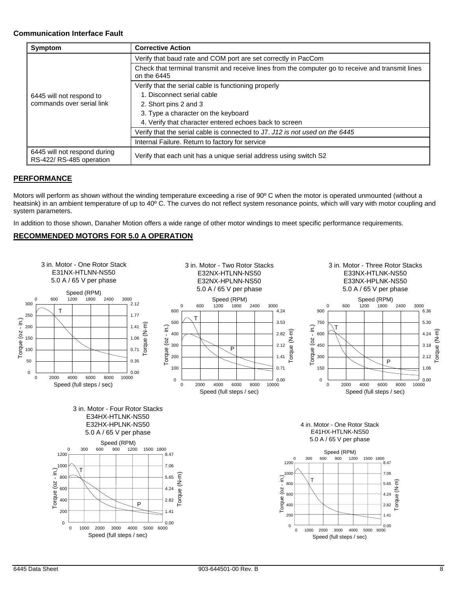#### **Communication Interface Fault**

| Symptom                                                 | <b>Corrective Action</b>                                                                                         |  |
|---------------------------------------------------------|------------------------------------------------------------------------------------------------------------------|--|
|                                                         | Verify that baud rate and COM port are set correctly in PacCom                                                   |  |
|                                                         | Check that terminal transmit and receive lines from the computer go to receive and transmit lines<br>on the 6445 |  |
|                                                         | Verify that the serial cable is functioning properly                                                             |  |
| 6445 will not respond to<br>commands over serial link   | 1. Disconnect serial cable                                                                                       |  |
|                                                         | 2. Short pins 2 and 3                                                                                            |  |
|                                                         | 3. Type a character on the keyboard                                                                              |  |
|                                                         | 4. Verify that character entered echoes back to screen                                                           |  |
|                                                         | Verify that the serial cable is connected to J7. J12 is not used on the 6445                                     |  |
|                                                         | Internal Failure. Return to factory for service                                                                  |  |
| 6445 will not respond during<br>RS-422/RS-485 operation | Verify that each unit has a unique serial address using switch S2                                                |  |

#### **PERFORMANCE**

Motors will perform as shown without the winding temperature exceeding a rise of 90° C when the motor is operated unmounted (without a heatsink) in an ambient temperature of up to 40° C. The curves do not reflect system resonance points, which will vary with motor coupling and system parameters.

In addition to those shown, Danaher Motion offers a wide range of other motor windings to meet specific performance requirements.

#### **RECOMMENDED MOTORS FOR 5.0 A OPERATION**